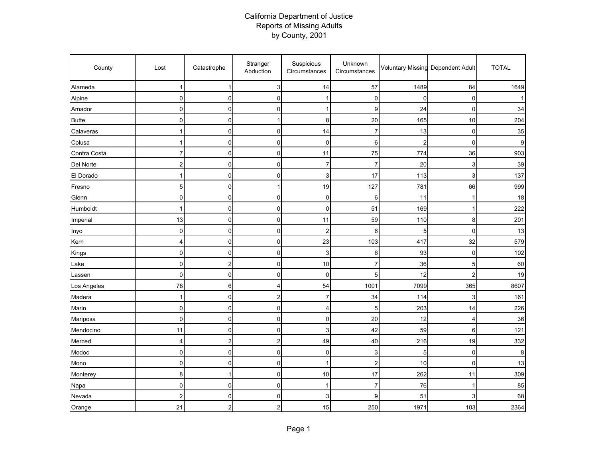## California Department of Justice Reports of Missing Adults by County, 2001

| County       | Lost                    | Catastrophe             | Stranger<br>Abduction | Suspicious<br>Circumstances | Unknown<br>Circumstances |                | Voluntary Missing Dependent Adult | <b>TOTAL</b> |
|--------------|-------------------------|-------------------------|-----------------------|-----------------------------|--------------------------|----------------|-----------------------------------|--------------|
| Alameda      | $\mathbf{1}$            | 1                       | 3                     | 14                          | 57                       | 1489           | 84                                | 1649         |
| Alpine       | $\mathbf 0$             | $\pmb{0}$               | 0                     | 1                           | $\mathbf 0$              | $\mathbf 0$    | 0                                 |              |
| Amador       | $\mathbf 0$             | $\mathbf 0$             | 0                     | 1                           | 9                        | 24             | $\Omega$                          | 34           |
| <b>Butte</b> | $\mathbf 0$             | 0                       |                       | 8                           | 20                       | 165            | 10                                | 204          |
| Calaveras    | 1                       | $\pmb{0}$               | 0                     | 14                          | 7                        | 13             | $\mathbf 0$                       | 35           |
| Colusa       | 1                       | $\pmb{0}$               | 0                     | 0                           | 6                        | $\overline{2}$ | 0                                 | 9            |
| Contra Costa | $\overline{7}$          | $\pmb{0}$               | 0                     | 11                          | 75                       | 774            | 36                                | 903          |
| Del Norte    | $\overline{\mathbf{c}}$ | $\mathbf 0$             | 0                     | 7                           | $\overline{7}$           | 20             | 3                                 | 39           |
| El Dorado    | 1                       | $\pmb{0}$               | 0                     | 3                           | 17                       | 113            | 3                                 | 137          |
| Fresno       | 5                       | $\pmb{0}$               | 1                     | 19                          | 127                      | 781            | 66                                | 999          |
| Glenn        | 0                       | $\mathbf 0$             | 0                     | 0                           | 6                        | 11             |                                   | 18           |
| Humboldt     |                         | $\pmb{0}$               | 0                     | 0                           | 51                       | 169            |                                   | 222          |
| Imperial     | 13                      | $\mathsf 0$             | 0                     | 11                          | 59                       | 110            | 8                                 | 201          |
| Inyo         | $\mathbf 0$             | $\pmb{0}$               | 0                     | 2                           | 6                        | 5              | $\mathbf 0$                       | 13           |
| Kern         | 4                       | $\pmb{0}$               | 0                     | 23                          | 103                      | 417            | 32                                | 579          |
| Kings        | 0                       | 0                       | 0                     | 3                           | 6                        | 93             | 0                                 | 102          |
| Lake         | 0                       | $\overline{c}$          | 0                     | 10                          | 7                        | 36             | 5                                 | 60           |
| Lassen       | 0                       | $\pmb{0}$               | 0                     | 0                           | 5                        | 12             | 2                                 | 19           |
| Los Angeles  | 78                      | 6                       | 4                     | 54                          | 1001                     | 7099           | 365                               | 8607         |
| Madera       | $\mathbf{1}$            | 0                       | 2                     | 7                           | 34                       | 114            | 3                                 | 161          |
| Marin        | $\mathbf 0$             | $\mathbf 0$             | 0                     | 4                           | 5                        | 203            | 14                                | 226          |
| Mariposa     | $\mathbf 0$             | $\mathbf 0$             | 0                     | 0                           | 20                       | 12             | $\overline{4}$                    | 36           |
| Mendocino    | 11                      | $\pmb{0}$               | 0                     | 3                           | 42                       | 59             | 6                                 | 121          |
| Merced       | 4                       | $\overline{\mathbf{c}}$ | 2                     | 49                          | 40                       | 216            | 19                                | 332          |
| Modoc        | $\mathbf 0$             | 0                       | 0                     | 0                           | 3                        | 5              | 0                                 | 8            |
| Mono         | $\pmb{0}$               | $\pmb{0}$               | 0                     | 1                           | $\overline{\mathbf{c}}$  | 10             | 0                                 | 13           |
| Monterey     | 8                       | $\mathbf{1}$            | 0                     | 10                          | 17                       | 262            | 11                                | 309          |
| Napa         | $\mathbf 0$             | $\pmb{0}$               | 0                     | 1                           | $\overline{7}$           | 76             |                                   | 85           |
| Nevada       | $\overline{\mathbf{c}}$ | 0                       | 0                     | 3                           | 9                        | 51             | 3                                 | 68           |
| Orange       | 21                      | 2                       | 2                     | 15                          | 250                      | 1971           | 103                               | 2364         |